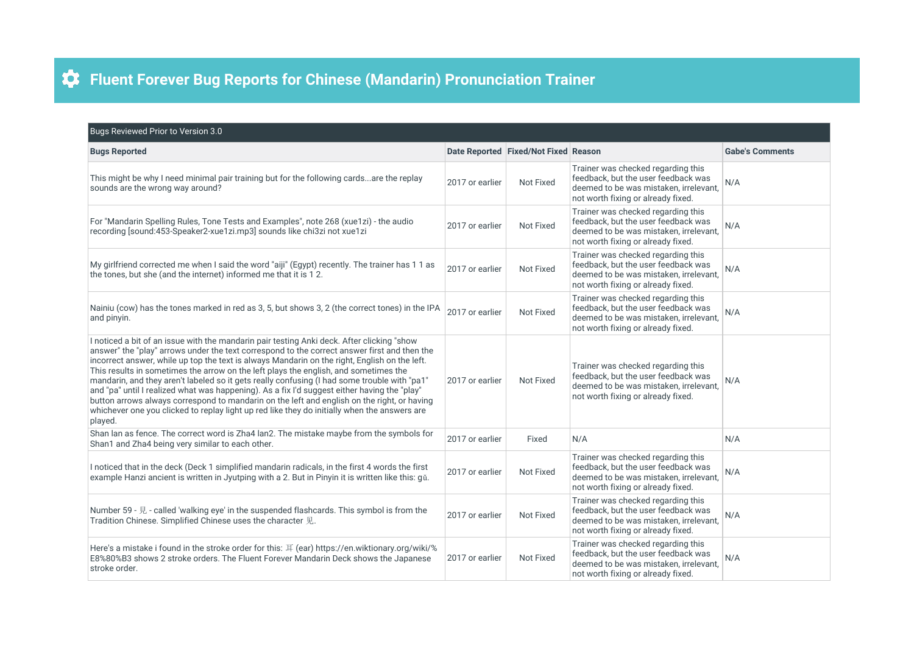## **Fluent Forever Bug Reports for Chinese (Mandarin) Pronunciation Trainer**

| Bugs Reviewed Prior to Version 3.0                                                                                                                                                                                                                                                                                                                                                                                                                                                                                                                                                                                                                                                                                                                                                            |                 |                                      |                                                                                                                                                           |                        |  |  |
|-----------------------------------------------------------------------------------------------------------------------------------------------------------------------------------------------------------------------------------------------------------------------------------------------------------------------------------------------------------------------------------------------------------------------------------------------------------------------------------------------------------------------------------------------------------------------------------------------------------------------------------------------------------------------------------------------------------------------------------------------------------------------------------------------|-----------------|--------------------------------------|-----------------------------------------------------------------------------------------------------------------------------------------------------------|------------------------|--|--|
| <b>Bugs Reported</b>                                                                                                                                                                                                                                                                                                                                                                                                                                                                                                                                                                                                                                                                                                                                                                          |                 | Date Reported Fixed/Not Fixed Reason |                                                                                                                                                           | <b>Gabe's Comments</b> |  |  |
| This might be why I need minimal pair training but for the following cardsare the replay<br>sounds are the wrong way around?                                                                                                                                                                                                                                                                                                                                                                                                                                                                                                                                                                                                                                                                  | 2017 or earlier | Not Fixed                            | Trainer was checked regarding this<br>feedback, but the user feedback was<br>deemed to be was mistaken, irrelevant.<br>not worth fixing or already fixed. | N/A                    |  |  |
| For "Mandarin Spelling Rules, Tone Tests and Examples", note 268 (xue1zi) - the audio<br>recording [sound:453-Speaker2-xue1zi.mp3] sounds like chi3zi not xue1zi                                                                                                                                                                                                                                                                                                                                                                                                                                                                                                                                                                                                                              | 2017 or earlier | Not Fixed                            | Trainer was checked regarding this<br>feedback, but the user feedback was<br>deemed to be was mistaken, irrelevant,<br>not worth fixing or already fixed. | N/A                    |  |  |
| My girlfriend corrected me when I said the word "aiji" (Egypt) recently. The trainer has 1 1 as<br>the tones, but she (and the internet) informed me that it is 12.                                                                                                                                                                                                                                                                                                                                                                                                                                                                                                                                                                                                                           | 2017 or earlier | Not Fixed                            | Trainer was checked regarding this<br>feedback, but the user feedback was<br>deemed to be was mistaken, irrelevant.<br>not worth fixing or already fixed. | N/A                    |  |  |
| Nainiu (cow) has the tones marked in red as 3, 5, but shows 3, 2 (the correct tones) in the IPA<br>and pinyin.                                                                                                                                                                                                                                                                                                                                                                                                                                                                                                                                                                                                                                                                                | 2017 or earlier | Not Fixed                            | Trainer was checked regarding this<br>feedback, but the user feedback was<br>deemed to be was mistaken, irrelevant,<br>not worth fixing or already fixed. | N/A                    |  |  |
| I noticed a bit of an issue with the mandarin pair testing Anki deck. After clicking "show<br>answer" the "play" arrows under the text correspond to the correct answer first and then the<br>incorrect answer, while up top the text is always Mandarin on the right, English on the left.<br>This results in sometimes the arrow on the left plays the english, and sometimes the<br>mandarin, and they aren't labeled so it gets really confusing (I had some trouble with "pa1"<br>and "pa" until I realized what was happening). As a fix I'd suggest either having the "play"<br>button arrows always correspond to mandarin on the left and english on the right, or having<br>whichever one you clicked to replay light up red like they do initially when the answers are<br>played. | 2017 or earlier | Not Fixed                            | Trainer was checked regarding this<br>feedback, but the user feedback was<br>deemed to be was mistaken, irrelevant,<br>not worth fixing or already fixed. | N/A                    |  |  |
| Shan lan as fence. The correct word is Zha4 lan2. The mistake maybe from the symbols for<br>Shan1 and Zha4 being very similar to each other.                                                                                                                                                                                                                                                                                                                                                                                                                                                                                                                                                                                                                                                  | 2017 or earlier | Fixed                                | N/A                                                                                                                                                       | N/A                    |  |  |
| I noticed that in the deck (Deck 1 simplified mandarin radicals, in the first 4 words the first<br>example Hanzi ancient is written in Jyutping with a 2. But in Pinyin it is written like this: gǔ.                                                                                                                                                                                                                                                                                                                                                                                                                                                                                                                                                                                          | 2017 or earlier | Not Fixed                            | Trainer was checked regarding this<br>feedback, but the user feedback was<br>deemed to be was mistaken, irrelevant,<br>not worth fixing or already fixed. | N/A                    |  |  |
| Number 59 - 見 - called 'walking eye' in the suspended flashcards. This symbol is from the<br>Tradition Chinese. Simplified Chinese uses the character 见.                                                                                                                                                                                                                                                                                                                                                                                                                                                                                                                                                                                                                                      | 2017 or earlier | Not Fixed                            | Trainer was checked regarding this<br>feedback, but the user feedback was<br>deemed to be was mistaken, irrelevant,<br>not worth fixing or already fixed. | N/A                    |  |  |
| Here's a mistake i found in the stroke order for this: $\overline{F}$ (ear) https://en.wiktionary.org/wiki/%<br>E8%80%B3 shows 2 stroke orders. The Fluent Forever Mandarin Deck shows the Japanese<br>stroke order.                                                                                                                                                                                                                                                                                                                                                                                                                                                                                                                                                                          | 2017 or earlier | Not Fixed                            | Trainer was checked regarding this<br>feedback, but the user feedback was<br>deemed to be was mistaken, irrelevant,<br>not worth fixing or already fixed. | N/A                    |  |  |